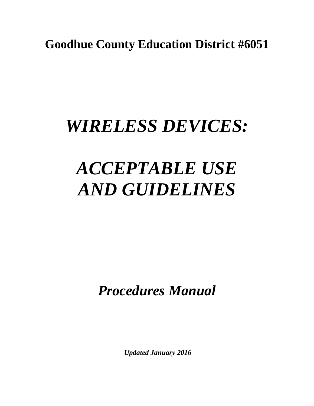**Goodhue County Education District #6051**

## *WIRELESS DEVICES:*

# *ACCEPTABLE USE AND GUIDELINES*

*Procedures Manual*

*Updated January 2016*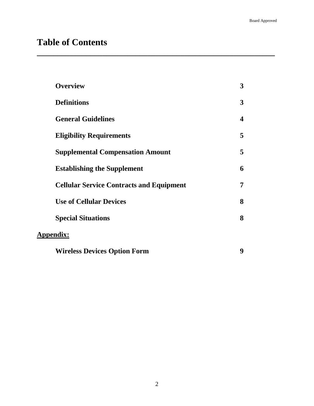### **Table of Contents**

| <b>Overview</b>                                 | 3                       |
|-------------------------------------------------|-------------------------|
| <b>Definitions</b>                              | 3                       |
| <b>General Guidelines</b>                       | $\overline{\mathbf{4}}$ |
| <b>Eligibility Requirements</b>                 | 5                       |
| <b>Supplemental Compensation Amount</b>         | 5                       |
| <b>Establishing the Supplement</b>              | 6                       |
| <b>Cellular Service Contracts and Equipment</b> | 7                       |
| <b>Use of Cellular Devices</b>                  | 8                       |
| <b>Special Situations</b>                       | 8                       |
| <b>Appendix:</b>                                |                         |
| <b>Wireless Devices Option Form</b>             | 9                       |

**\_\_\_\_\_\_\_\_\_\_\_\_\_\_\_\_\_\_\_\_\_\_\_\_\_\_\_\_\_\_\_\_\_\_\_\_\_\_\_\_\_\_\_\_\_\_\_\_\_\_\_\_\_\_\_\_\_\_**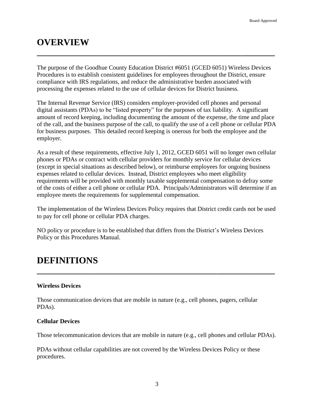### **OVERVIEW**

The purpose of the Goodhue County Education District #6051 (GCED 6051) Wireless Devices Procedures is to establish consistent guidelines for employees throughout the District, ensure compliance with IRS regulations, and reduce the administrative burden associated with processing the expenses related to the use of cellular devices for District business.

**\_\_\_\_\_\_\_\_\_\_\_\_\_\_\_\_\_\_\_\_\_\_\_\_\_\_\_\_\_\_\_\_\_\_\_\_\_\_\_\_\_\_\_\_\_\_\_\_\_\_\_\_\_\_\_\_\_\_**

The Internal Revenue Service (IRS) considers employer-provided cell phones and personal digital assistants (PDAs) to be "listed property" for the purposes of tax liability. A significant amount of record keeping, including documenting the amount of the expense, the time and place of the call, and the business purpose of the call, to qualify the use of a cell phone or cellular PDA for business purposes. This detailed record keeping is onerous for both the employee and the employer.

As a result of these requirements, effective July 1, 2012, GCED 6051 will no longer own cellular phones or PDAs or contract with cellular providers for monthly service for cellular devices (except in special situations as described below), or reimburse employees for ongoing business expenses related to cellular devices. Instead, District employees who meet eligibility requirements will be provided with monthly taxable supplemental compensation to defray some of the costs of either a cell phone or cellular PDA. Principals/Administrators will determine if an employee meets the requirements for supplemental compensation.

The implementation of the Wireless Devices Policy requires that District credit cards not be used to pay for cell phone or cellular PDA charges.

NO policy or procedure is to be established that differs from the District's Wireless Devices Policy or this Procedures Manual.

**\_\_\_\_\_\_\_\_\_\_\_\_\_\_\_\_\_\_\_\_\_\_\_\_\_\_\_\_\_\_\_\_\_\_\_\_\_\_\_\_\_\_\_\_\_\_\_\_\_\_\_\_\_\_\_\_\_\_**

### **DEFINITIONS**

#### **Wireless Devices**

Those communication devices that are mobile in nature (e.g., cell phones, pagers, cellular PDAs).

#### **Cellular Devices**

Those telecommunication devices that are mobile in nature (e.g., cell phones and cellular PDAs).

PDAs without cellular capabilities are not covered by the Wireless Devices Policy or these procedures.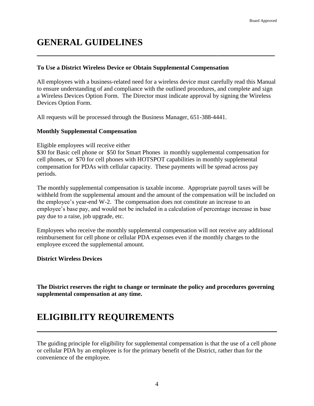### **GENERAL GUIDELINES**

#### **To Use a District Wireless Device or Obtain Supplemental Compensation**

All employees with a business-related need for a wireless device must carefully read this Manual to ensure understanding of and compliance with the outlined procedures, and complete and sign a Wireless Devices Option Form. The Director must indicate approval by signing the Wireless Devices Option Form.

**\_\_\_\_\_\_\_\_\_\_\_\_\_\_\_\_\_\_\_\_\_\_\_\_\_\_\_\_\_\_\_\_\_\_\_\_\_\_\_\_\_\_\_\_\_\_\_\_\_\_\_\_\_\_\_\_\_\_**

All requests will be processed through the Business Manager, 651-388-4441.

#### **Monthly Supplemental Compensation**

Eligible employees will receive either

\$30 for Basic cell phone or \$50 for Smart Phones in monthly supplemental compensation for cell phones, or \$70 for cell phones with HOTSPOT capabilities in monthly supplemental compensation for PDAs with cellular capacity. These payments will be spread across pay periods.

The monthly supplemental compensation is taxable income. Appropriate payroll taxes will be withheld from the supplemental amount and the amount of the compensation will be included on the employee's year-end W-2. The compensation does not constitute an increase to an employee's base pay, and would not be included in a calculation of percentage increase in base pay due to a raise, job upgrade, etc.

Employees who receive the monthly supplemental compensation will not receive any additional reimbursement for cell phone or cellular PDA expenses even if the monthly charges to the employee exceed the supplemental amount.

#### **District Wireless Devices**

**The District reserves the right to change or terminate the policy and procedures governing supplemental compensation at any time.**

### **ELIGIBILITY REQUIREMENTS**

The guiding principle for eligibility for supplemental compensation is that the use of a cell phone or cellular PDA by an employee is for the primary benefit of the District, rather than for the convenience of the employee.

**\_\_\_\_\_\_\_\_\_\_\_\_\_\_\_\_\_\_\_\_\_\_\_\_\_\_\_\_\_\_\_\_\_\_\_\_\_\_\_\_\_\_\_\_\_\_\_\_\_\_\_\_**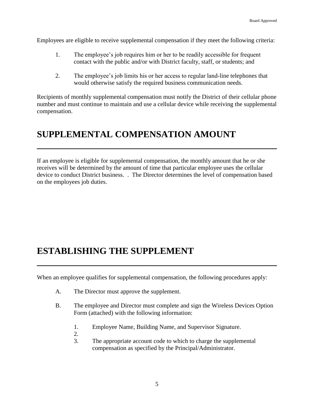Employees are eligible to receive supplemental compensation if they meet the following criteria:

- 1. The employee's job requires him or her to be readily accessible for frequent contact with the public and/or with District faculty, staff, or students; and
- 2. The employee's job limits his or her access to regular land-line telephones that would otherwise satisfy the required business communication needs.

Recipients of monthly supplemental compensation must notify the District of their cellular phone number and must continue to maintain and use a cellular device while receiving the supplemental compensation.

### **SUPPLEMENTAL COMPENSATION AMOUNT**

If an employee is eligible for supplemental compensation, the monthly amount that he or she receives will be determined by the amount of time that particular employee uses the cellular device to conduct District business. . The Director determines the level of compensation based on the employees job duties.

**\_\_\_\_\_\_\_\_\_\_\_\_\_\_\_\_\_\_\_\_\_\_\_\_\_\_\_\_\_\_\_\_\_\_\_\_\_\_\_\_\_\_\_\_\_\_\_\_\_\_\_\_**

### **ESTABLISHING THE SUPPLEMENT**

When an employee qualifies for supplemental compensation, the following procedures apply:

**\_\_\_\_\_\_\_\_\_\_\_\_\_\_\_\_\_\_\_\_\_\_\_\_\_\_\_\_\_\_\_\_\_\_\_\_\_\_\_\_\_\_\_\_\_\_\_\_\_\_\_\_**

- A. The Director must approve the supplement.
- B. The employee and Director must complete and sign the Wireless Devices Option Form (attached) with the following information:
	- 1. Employee Name, Building Name, and Supervisor Signature.
	- 2.
	- 3. The appropriate account code to which to charge the supplemental compensation as specified by the Principal/Administrator.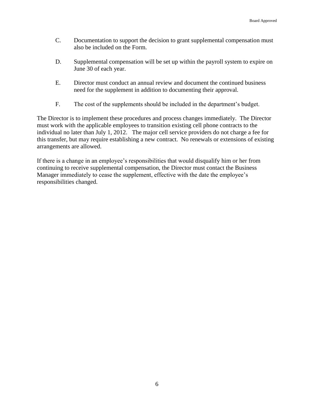- C. Documentation to support the decision to grant supplemental compensation must also be included on the Form.
- D. Supplemental compensation will be set up within the payroll system to expire on June 30 of each year.
- E. Director must conduct an annual review and document the continued business need for the supplement in addition to documenting their approval.
- F. The cost of the supplements should be included in the department's budget.

The Director is to implement these procedures and process changes immediately. The Director must work with the applicable employees to transition existing cell phone contracts to the individual no later than July 1, 2012. The major cell service providers do not charge a fee for this transfer, but may require establishing a new contract. No renewals or extensions of existing arrangements are allowed.

If there is a change in an employee's responsibilities that would disqualify him or her from continuing to receive supplemental compensation, the Director must contact the Business Manager immediately to cease the supplement, effective with the date the employee's responsibilities changed.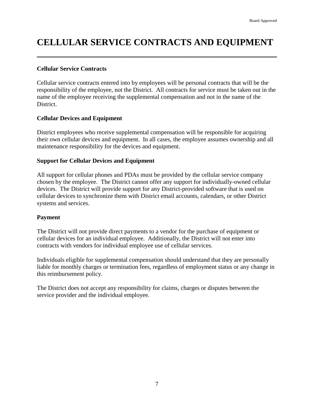### **CELLULAR SERVICE CONTRACTS AND EQUIPMENT**

**\_\_\_\_\_\_\_\_\_\_\_\_\_\_\_\_\_\_\_\_\_\_\_\_\_\_\_\_\_\_\_\_\_\_\_\_\_\_\_\_\_\_\_\_\_\_\_\_\_\_\_\_**

#### **Cellular Service Contracts**

Cellular service contracts entered into by employees will be personal contracts that will be the responsibility of the employee, not the District. All contracts for service must be taken out in the name of the employee receiving the supplemental compensation and not in the name of the District.

#### **Cellular Devices and Equipment**

District employees who receive supplemental compensation will be responsible for acquiring their own cellular devices and equipment. In all cases, the employee assumes ownership and all maintenance responsibility for the devices and equipment.

#### **Support for Cellular Devices and Equipment**

All support for cellular phones and PDAs must be provided by the cellular service company chosen by the employee. The District cannot offer any support for individually-owned cellular devices. The District will provide support for any District-provided software that is used on cellular devices to synchronize them with District email accounts, calendars, or other District systems and services.

#### **Payment**

The District will not provide direct payments to a vendor for the purchase of equipment or cellular devices for an individual employee. Additionally, the District will not enter into contracts with vendors for individual employee use of cellular services.

Individuals eligible for supplemental compensation should understand that they are personally liable for monthly charges or termination fees, regardless of employment status or any change in this reimbursement policy.

The District does not accept any responsibility for claims, charges or disputes between the service provider and the individual employee.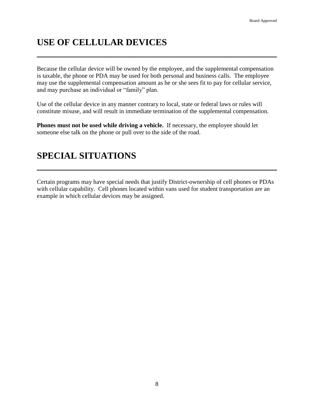### **USE OF CELLULAR DEVICES**

Because the cellular device will be owned by the employee, and the supplemental compensation is taxable, the phone or PDA may be used for both personal and business calls. The employee may use the supplemental compensation amount as he or she sees fit to pay for cellular service, and may purchase an individual or "family" plan.

**\_\_\_\_\_\_\_\_\_\_\_\_\_\_\_\_\_\_\_\_\_\_\_\_\_\_\_\_\_\_\_\_\_\_\_\_\_\_\_\_\_\_\_\_\_\_\_\_\_\_\_\_**

Use of the cellular device in any manner contrary to local, state or federal laws or rules will constitute misuse, and will result in immediate termination of the supplemental compensation.

**Phones must not be used while driving a vehicle.** If necessary, the employee should let someone else talk on the phone or pull over to the side of the road.

### **SPECIAL SITUATIONS**

Certain programs may have special needs that justify District-ownership of cell phones or PDAs with cellular capability. Cell phones located within vans used for student transportation are an example in which cellular devices may be assigned.

**\_\_\_\_\_\_\_\_\_\_\_\_\_\_\_\_\_\_\_\_\_\_\_\_\_\_\_\_\_\_\_\_\_\_\_\_\_\_\_\_\_\_\_\_\_\_\_\_\_\_\_\_**